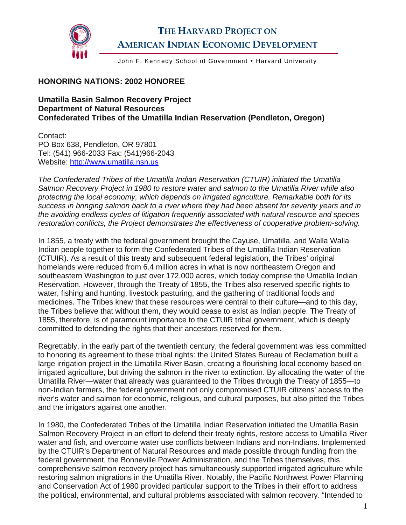

## **THE HARVARD PROJECT ON AMERICAN INDIAN ECONOMIC DEVELOPMENT**

John F. Kennedy School of Government . Harvard University

## **HONORING NATIONS: 2002 HONOREE**

**Umatilla Basin Salmon Recovery Project Department of Natural Resources Confederated Tribes of the Umatilla Indian Reservation (Pendleton, Oregon)** 

Contact: PO Box 638, Pendleton, OR 97801 Tel: (541) 966-2033 Fax: (541)966-2043 Website: [http://www.umatilla.nsn.us](http://www.umatilla.nsn.us/)

*The Confederated Tribes of the Umatilla Indian Reservation (CTUIR) initiated the Umatilla Salmon Recovery Project in 1980 to restore water and salmon to the Umatilla River while also protecting the local economy, which depends on irrigated agriculture. Remarkable both for its success in bringing salmon back to a river where they had been absent for seventy years and in the avoiding endless cycles of litigation frequently associated with natural resource and species restoration conflicts, the Project demonstrates the effectiveness of cooperative problem-solving.* 

In 1855, a treaty with the federal government brought the Cayuse, Umatilla, and Walla Walla Indian people together to form the Confederated Tribes of the Umatilla Indian Reservation (CTUIR). As a result of this treaty and subsequent federal legislation, the Tribes' original homelands were reduced from 6.4 million acres in what is now northeastern Oregon and southeastern Washington to just over 172,000 acres, which today comprise the Umatilla Indian Reservation. However, through the Treaty of 1855, the Tribes also reserved specific rights to water, fishing and hunting, livestock pasturing, and the gathering of traditional foods and medicines. The Tribes knew that these resources were central to their culture—and to this day, the Tribes believe that without them, they would cease to exist as Indian people. The Treaty of 1855, therefore, is of paramount importance to the CTUIR tribal government, which is deeply committed to defending the rights that their ancestors reserved for them.

Regrettably, in the early part of the twentieth century, the federal government was less committed to honoring its agreement to these tribal rights: the United States Bureau of Reclamation built a large irrigation project in the Umatilla River Basin, creating a flourishing local economy based on irrigated agriculture, but driving the salmon in the river to extinction. By allocating the water of the Umatilla River—water that already was guaranteed to the Tribes through the Treaty of 1855—to non-Indian farmers, the federal government not only compromised CTUIR citizens' access to the river's water and salmon for economic, religious, and cultural purposes, but also pitted the Tribes and the irrigators against one another.

In 1980, the Confederated Tribes of the Umatilla Indian Reservation initiated the Umatilla Basin Salmon Recovery Project in an effort to defend their treaty rights, restore access to Umatilla River water and fish, and overcome water use conflicts between Indians and non-Indians. Implemented by the CTUIR's Department of Natural Resources and made possible through funding from the federal government, the Bonneville Power Administration, and the Tribes themselves, this comprehensive salmon recovery project has simultaneously supported irrigated agriculture while restoring salmon migrations in the Umatilla River. Notably, the Pacific Northwest Power Planning and Conservation Act of 1980 provided particular support to the Tribes in their effort to address the political, environmental, and cultural problems associated with salmon recovery. "Intended to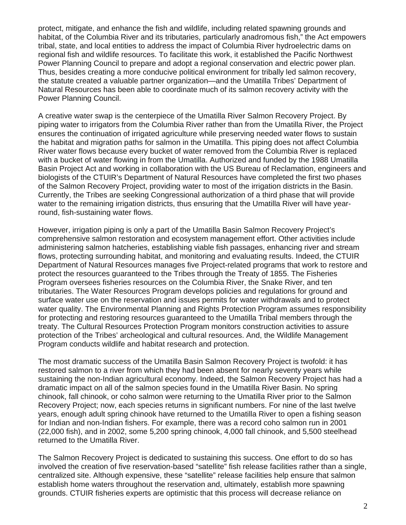protect, mitigate, and enhance the fish and wildlife, including related spawning grounds and habitat, of the Columbia River and its tributaries, particularly anadromous fish," the Act empowers tribal, state, and local entities to address the impact of Columbia River hydroelectric dams on regional fish and wildlife resources. To facilitate this work, it established the Pacific Northwest Power Planning Council to prepare and adopt a regional conservation and electric power plan. Thus, besides creating a more conducive political environment for tribally led salmon recovery, the statute created a valuable partner organization—and the Umatilla Tribes' Department of Natural Resources has been able to coordinate much of its salmon recovery activity with the Power Planning Council.

A creative water swap is the centerpiece of the Umatilla River Salmon Recovery Project. By piping water to irrigators from the Columbia River rather than from the Umatilla River, the Project ensures the continuation of irrigated agriculture while preserving needed water flows to sustain the habitat and migration paths for salmon in the Umatilla. This piping does not affect Columbia River water flows because every bucket of water removed from the Columbia River is replaced with a bucket of water flowing in from the Umatilla. Authorized and funded by the 1988 Umatilla Basin Project Act and working in collaboration with the US Bureau of Reclamation, engineers and biologists of the CTUIR's Department of Natural Resources have completed the first two phases of the Salmon Recovery Project, providing water to most of the irrigation districts in the Basin. Currently, the Tribes are seeking Congressional authorization of a third phase that will provide water to the remaining irrigation districts, thus ensuring that the Umatilla River will have yearround, fish-sustaining water flows.

However, irrigation piping is only a part of the Umatilla Basin Salmon Recovery Project's comprehensive salmon restoration and ecosystem management effort. Other activities include administering salmon hatcheries, establishing viable fish passages, enhancing river and stream flows, protecting surrounding habitat, and monitoring and evaluating results. Indeed, the CTUIR Department of Natural Resources manages five Project-related programs that work to restore and protect the resources guaranteed to the Tribes through the Treaty of 1855. The Fisheries Program oversees fisheries resources on the Columbia River, the Snake River, and ten tributaries. The Water Resources Program develops policies and regulations for ground and surface water use on the reservation and issues permits for water withdrawals and to protect water quality. The Environmental Planning and Rights Protection Program assumes responsibility for protecting and restoring resources guaranteed to the Umatilla Tribal members through the treaty. The Cultural Resources Protection Program monitors construction activities to assure protection of the Tribes' archeological and cultural resources. And, the Wildlife Management Program conducts wildlife and habitat research and protection.

The most dramatic success of the Umatilla Basin Salmon Recovery Project is twofold: it has restored salmon to a river from which they had been absent for nearly seventy years while sustaining the non-Indian agricultural economy. Indeed, the Salmon Recovery Project has had a dramatic impact on all of the salmon species found in the Umatilla River Basin. No spring chinook, fall chinook, or coho salmon were returning to the Umatilla River prior to the Salmon Recovery Project; now, each species returns in significant numbers. For nine of the last twelve years, enough adult spring chinook have returned to the Umatilla River to open a fishing season for Indian and non-Indian fishers. For example, there was a record coho salmon run in 2001 (22,000 fish), and in 2002, some 5,200 spring chinook, 4,000 fall chinook, and 5,500 steelhead returned to the Umatilla River.

The Salmon Recovery Project is dedicated to sustaining this success. One effort to do so has involved the creation of five reservation-based "satellite" fish release facilities rather than a single, centralized site. Although expensive, these "satellite" release facilities help ensure that salmon establish home waters throughout the reservation and, ultimately, establish more spawning grounds. CTUIR fisheries experts are optimistic that this process will decrease reliance on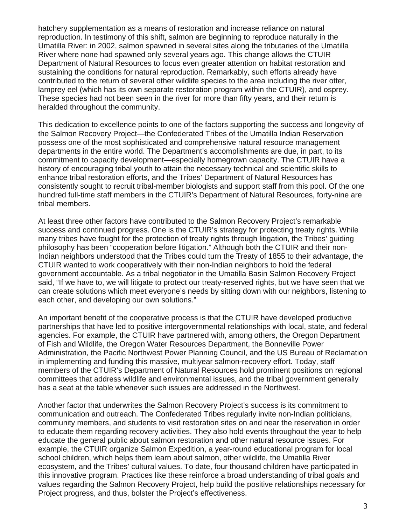hatchery supplementation as a means of restoration and increase reliance on natural reproduction. In testimony of this shift, salmon are beginning to reproduce naturally in the Umatilla River: in 2002, salmon spawned in several sites along the tributaries of the Umatilla River where none had spawned only several years ago. This change allows the CTUIR Department of Natural Resources to focus even greater attention on habitat restoration and sustaining the conditions for natural reproduction. Remarkably, such efforts already have contributed to the return of several other wildlife species to the area including the river otter, lamprey eel (which has its own separate restoration program within the CTUIR), and osprey. These species had not been seen in the river for more than fifty years, and their return is heralded throughout the community.

This dedication to excellence points to one of the factors supporting the success and longevity of the Salmon Recovery Project—the Confederated Tribes of the Umatilla Indian Reservation possess one of the most sophisticated and comprehensive natural resource management departments in the entire world. The Department's accomplishments are due, in part, to its commitment to capacity development—especially homegrown capacity. The CTUIR have a history of encouraging tribal youth to attain the necessary technical and scientific skills to enhance tribal restoration efforts, and the Tribes' Department of Natural Resources has consistently sought to recruit tribal-member biologists and support staff from this pool. Of the one hundred full-time staff members in the CTUIR's Department of Natural Resources, forty-nine are tribal members.

At least three other factors have contributed to the Salmon Recovery Project's remarkable success and continued progress. One is the CTUIR's strategy for protecting treaty rights. While many tribes have fought for the protection of treaty rights through litigation, the Tribes' guiding philosophy has been "cooperation before litigation." Although both the CTUIR and their non-Indian neighbors understood that the Tribes could turn the Treaty of 1855 to their advantage, the CTUIR wanted to work cooperatively with their non-Indian neighbors to hold the federal government accountable. As a tribal negotiator in the Umatilla Basin Salmon Recovery Project said, "If we have to, we will litigate to protect our treaty-reserved rights, but we have seen that we can create solutions which meet everyone's needs by sitting down with our neighbors, listening to each other, and developing our own solutions."

An important benefit of the cooperative process is that the CTUIR have developed productive partnerships that have led to positive intergovernmental relationships with local, state, and federal agencies. For example, the CTUIR have partnered with, among others, the Oregon Department of Fish and Wildlife, the Oregon Water Resources Department, the Bonneville Power Administration, the Pacific Northwest Power Planning Council, and the US Bureau of Reclamation in implementing and funding this massive, multiyear salmon-recovery effort. Today, staff members of the CTUIR's Department of Natural Resources hold prominent positions on regional committees that address wildlife and environmental issues, and the tribal government generally has a seat at the table whenever such issues are addressed in the Northwest.

Another factor that underwrites the Salmon Recovery Project's success is its commitment to communication and outreach. The Confederated Tribes regularly invite non-Indian politicians, community members, and students to visit restoration sites on and near the reservation in order to educate them regarding recovery activities. They also hold events throughout the year to help educate the general public about salmon restoration and other natural resource issues. For example, the CTUIR organize Salmon Expedition, a year-round educational program for local school children, which helps them learn about salmon, other wildlife, the Umatilla River ecosystem, and the Tribes' cultural values. To date, four thousand children have participated in this innovative program. Practices like these reinforce a broad understanding of tribal goals and values regarding the Salmon Recovery Project, help build the positive relationships necessary for Project progress, and thus, bolster the Project's effectiveness.